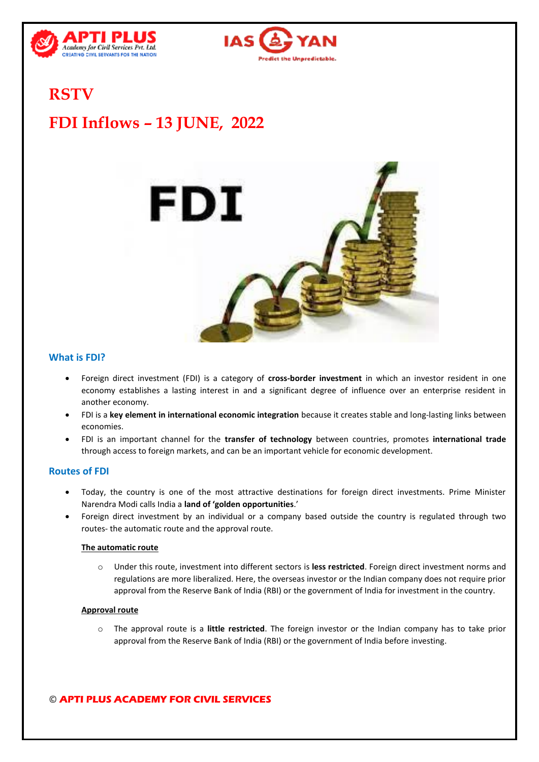



## **RSTV**

# **FDI Inflows – 13 JUNE, 2022**



### **What is FDI?**

- Foreign direct investment (FDI) is a category of **cross-border investment** in which an investor resident in one economy establishes a lasting interest in and a significant degree of influence over an enterprise resident in another economy.
- FDI is a **key element in international economic integration** because it creates stable and long-lasting links between economies.
- FDI is an important channel for the **transfer of technology** between countries, promotes **international trade** through access to foreign markets, and can be an important vehicle for economic development.

#### **Routes of FDI**

- Today, the country is one of the most attractive destinations for foreign direct investments. Prime Minister Narendra Modi calls India a **land of 'golden opportunities**.'
- Foreign direct investment by an individual or a company based outside the country is regulated through two routes- the automatic route and the approval route.

#### **The automatic route**

o Under this route, investment into different sectors is **less restricted**. Foreign direct investment norms and regulations are more liberalized. Here, the overseas investor or the Indian company does not require prior approval from the Reserve Bank of India (RBI) or the government of India for investment in the country.

#### **Approval route**

o The approval route is a **little restricted**. The foreign investor or the Indian company has to take prior approval from the Reserve Bank of India (RBI) or the government of India before investing.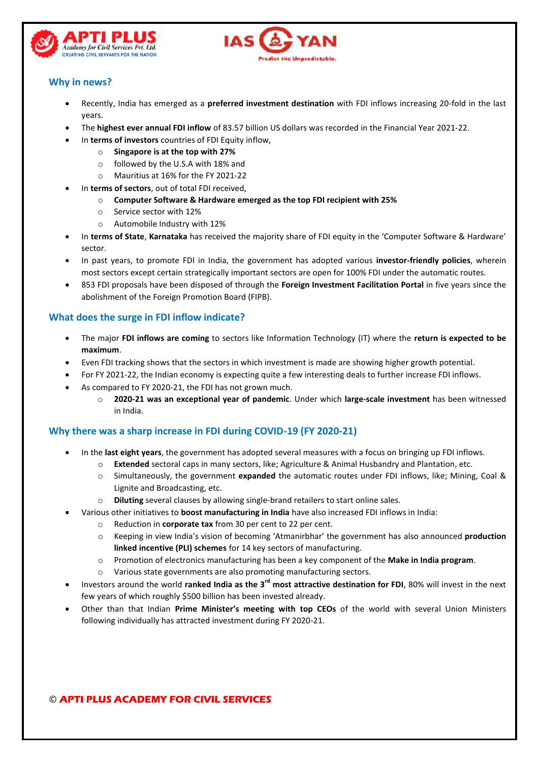



## **Why in news?**

- Recently, India has emerged as a **preferred investment destination** with FDI inflows increasing 20-fold in the last years.
- The **highest ever annual FDI inflow** of 83.57 billion US dollars was recorded in the Financial Year 2021-22.
	- In **terms of investors** countries of FDI Equity inflow,
		- o **Singapore is at the top with 27%**
			- o followed by the U.S.A with 18% and
			- o Mauritius at 16% for the FY 2021-22
	- In **terms of sectors**, out of total FDI received,
		- o **Computer Software & Hardware emerged as the top FDI recipient with 25%**
		- o Service sector with 12%
		- o Automobile Industry with 12%
- In **terms of State**, **Karnataka** has received the majority share of FDI equity in the 'Computer Software & Hardware' sector.
- In past years, to promote FDI in India, the government has adopted various **investor-friendly policies**, wherein most sectors except certain strategically important sectors are open for 100% FDI under the automatic routes.
- 853 FDI proposals have been disposed of through the **Foreign Investment Facilitation Portal** in five years since the abolishment of the Foreign Promotion Board (FIPB).

#### **What does the surge in FDI inflow indicate?**

- The major **FDI inflows are coming** to sectors like Information Technology (IT) where the **return is expected to be maximum**.
- Even FDI tracking shows that the sectors in which investment is made are showing higher growth potential.
- For FY 2021-22, the Indian economy is expecting quite a few interesting deals to further increase FDI inflows.
- As compared to FY 2020-21, the FDI has not grown much.
	- o **2020-21 was an exceptional year of pandemic**. Under which **large-scale investment** has been witnessed in India.

#### **Why there was a sharp increase in FDI during COVID-19 (FY 2020-21)**

- In the **last eight years**, the government has adopted several measures with a focus on bringing up FDI inflows.
	- o **Extended** sectoral caps in many sectors, like; Agriculture & Animal Husbandry and Plantation, etc.
	- o Simultaneously, the government **expanded** the automatic routes under FDI inflows, like; Mining, Coal & Lignite and Broadcasting, etc.
	- o **Diluting** several clauses by allowing single-brand retailers to start online sales.
- Various other initiatives to **boost manufacturing in India** have also increased FDI inflows in India:
	- o Reduction in **corporate tax** from 30 per cent to 22 per cent.
	- o Keeping in view India's vision of becoming 'Atmanirbhar' the government has also announced **production linked incentive (PLI) schemes** for 14 key sectors of manufacturing.
	- o Promotion of electronics manufacturing has been a key component of the **Make in India program**.
	- o Various state governments are also promoting manufacturing sectors.
- Investors around the world **ranked India as the 3rd most attractive destination for FDI**, 80% will invest in the next few years of which roughly \$500 billion has been invested already.
- Other than that Indian **Prime Minister's meeting with top CEOs** of the world with several Union Ministers following individually has attracted investment during FY 2020-21.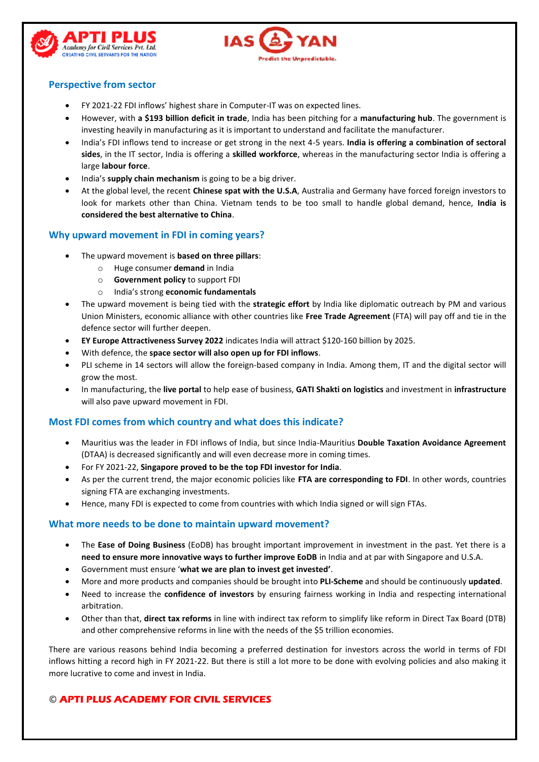



## **Perspective from sector**

- FY 2021-22 FDI inflows' highest share in Computer-IT was on expected lines.
- However, with **a \$193 billion deficit in trade**, India has been pitching for a **manufacturing hub**. The government is investing heavily in manufacturing as it is important to understand and facilitate the manufacturer.
- India's FDI inflows tend to increase or get strong in the next 4-5 years. **India is offering a combination of sectoral sides**, in the IT sector, India is offering a **skilled workforce**, whereas in the manufacturing sector India is offering a large **labour force**.
- India's **supply chain mechanism** is going to be a big driver.
- At the global level, the recent **Chinese spat with the U.S.A**, Australia and Germany have forced foreign investors to look for markets other than China. Vietnam tends to be too small to handle global demand, hence, **India is considered the best alternative to China**.

#### **Why upward movement in FDI in coming years?**

- The upward movement is **based on three pillars**:
	- o Huge consumer **demand** in India
	- o **Government policy** to support FDI
	- o India's strong **economic fundamentals**
- The upward movement is being tied with the **strategic effort** by India like diplomatic outreach by PM and various Union Ministers, economic alliance with other countries like **Free Trade Agreement** (FTA) will pay off and tie in the defence sector will further deepen.
- **EY Europe Attractiveness Survey 2022** indicates India will attract \$120-160 billion by 2025.
- With defence, the **space sector will also open up for FDI inflows**.
- PLI scheme in 14 sectors will allow the foreign-based company in India. Among them, IT and the digital sector will grow the most.
- In manufacturing, the **live portal** to help ease of business, **GATI Shakti on logistics** and investment in **infrastructure**  will also pave upward movement in FDI.

#### **Most FDI comes from which country and what does this indicate?**

- Mauritius was the leader in FDI inflows of India, but since India-Mauritius **Double Taxation Avoidance Agreement** (DTAA) is decreased significantly and will even decrease more in coming times.
- For FY 2021-22, **Singapore proved to be the top FDI investor for India**.
- As per the current trend, the major economic policies like **FTA are corresponding to FDI**. In other words, countries signing FTA are exchanging investments.
- Hence, many FDI is expected to come from countries with which India signed or will sign FTAs.

#### **What more needs to be done to maintain upward movement?**

- The **Ease of Doing Business** (EoDB) has brought important improvement in investment in the past. Yet there is a **need to ensure more innovative ways to further improve EoDB** in India and at par with Singapore and U.S.A.
- Government must ensure '**what we are plan to invest get invested'**.
- More and more products and companies should be brought into **PLI-Scheme** and should be continuously **updated**.
- Need to increase the **confidence of investors** by ensuring fairness working in India and respecting international arbitration.
- Other than that, **direct tax reforms** in line with indirect tax reform to simplify like reform in Direct Tax Board (DTB) and other comprehensive reforms in line with the needs of the \$5 trillion economies.

There are various reasons behind India becoming a preferred destination for investors across the world in terms of FDI inflows hitting a record high in FY 2021-22. But there is still a lot more to be done with evolving policies and also making it more lucrative to come and invest in India.